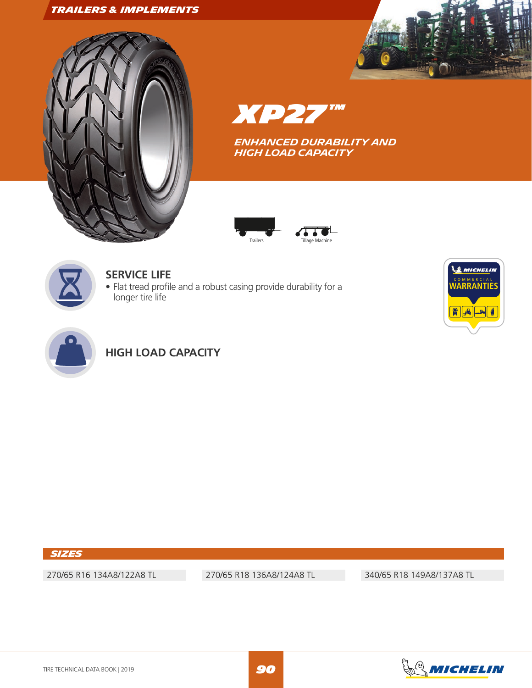## *TRAILERS & IMPLEMENTS*





*XP27 ™*

*ENHANCED Durability and high load capacity*





## **SERVICE LIFE**

• Flat tread profile and a robust casing provide durability for a longer tire life





# **HIGH LOAD CAPACITY**

### *Sizes*

270/65 R16 134A8/122A8 TL 270/65 R18 136A8/124A8 TL 340/65 R18 149A8/137A8 TL